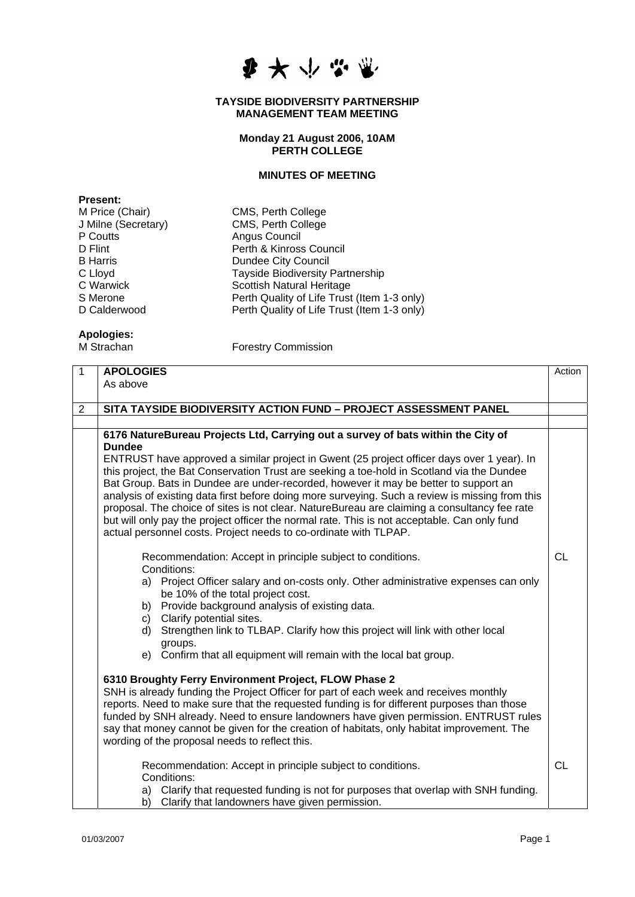

## **TAYSIDE BIODIVERSITY PARTNERSHIP MANAGEMENT TEAM MEETING**

## **Monday 21 August 2006, 10AM PERTH COLLEGE**

## **MINUTES OF MEETING**

| <b>Present:</b>     |
|---------------------|
| M Price (Chair)     |
| J Milne (Secretary) |
| P Coutts            |
| D Flint             |
| <b>B</b> Harris     |
| C Lloyd             |
| C Warwick           |
| S Merone            |
| D Calderwood        |

CMS, Perth College CMS, Perth College Angus Council Perth & Kinross Council **Dundee City Council** Tayside Biodiversity Partnership Scottish Natural Heritage Perth Quality of Life Trust (Item 1-3 only) Perth Quality of Life Trust (Item 1-3 only)

## **Apologies:**

Forestry Commission

| $\overline{1}$ | <b>APOLOGIES</b>                                                                                                                                                                                                                                                                                                                                                                                                                                                                                                                                                                                                                                                                                                                                                                                                                                                                                                                                                                                                                                                                                                                                                                                                                                                                                                                                                                                                                                                                                                                                                                                                                                                                                                              | Action    |
|----------------|-------------------------------------------------------------------------------------------------------------------------------------------------------------------------------------------------------------------------------------------------------------------------------------------------------------------------------------------------------------------------------------------------------------------------------------------------------------------------------------------------------------------------------------------------------------------------------------------------------------------------------------------------------------------------------------------------------------------------------------------------------------------------------------------------------------------------------------------------------------------------------------------------------------------------------------------------------------------------------------------------------------------------------------------------------------------------------------------------------------------------------------------------------------------------------------------------------------------------------------------------------------------------------------------------------------------------------------------------------------------------------------------------------------------------------------------------------------------------------------------------------------------------------------------------------------------------------------------------------------------------------------------------------------------------------------------------------------------------------|-----------|
|                | As above                                                                                                                                                                                                                                                                                                                                                                                                                                                                                                                                                                                                                                                                                                                                                                                                                                                                                                                                                                                                                                                                                                                                                                                                                                                                                                                                                                                                                                                                                                                                                                                                                                                                                                                      |           |
| $\overline{2}$ | SITA TAYSIDE BIODIVERSITY ACTION FUND - PROJECT ASSESSMENT PANEL                                                                                                                                                                                                                                                                                                                                                                                                                                                                                                                                                                                                                                                                                                                                                                                                                                                                                                                                                                                                                                                                                                                                                                                                                                                                                                                                                                                                                                                                                                                                                                                                                                                              |           |
|                |                                                                                                                                                                                                                                                                                                                                                                                                                                                                                                                                                                                                                                                                                                                                                                                                                                                                                                                                                                                                                                                                                                                                                                                                                                                                                                                                                                                                                                                                                                                                                                                                                                                                                                                               |           |
|                | 6176 NatureBureau Projects Ltd, Carrying out a survey of bats within the City of<br><b>Dundee</b><br>ENTRUST have approved a similar project in Gwent (25 project officer days over 1 year). In<br>this project, the Bat Conservation Trust are seeking a toe-hold in Scotland via the Dundee<br>Bat Group. Bats in Dundee are under-recorded, however it may be better to support an<br>analysis of existing data first before doing more surveying. Such a review is missing from this<br>proposal. The choice of sites is not clear. NatureBureau are claiming a consultancy fee rate<br>but will only pay the project officer the normal rate. This is not acceptable. Can only fund<br>actual personnel costs. Project needs to co-ordinate with TLPAP.<br>Recommendation: Accept in principle subject to conditions.<br>Conditions:<br>a) Project Officer salary and on-costs only. Other administrative expenses can only<br>be 10% of the total project cost.<br>b) Provide background analysis of existing data.<br>Clarify potential sites.<br>C)<br>Strengthen link to TLBAP. Clarify how this project will link with other local<br>d)<br>groups.<br>e) Confirm that all equipment will remain with the local bat group.<br>6310 Broughty Ferry Environment Project, FLOW Phase 2<br>SNH is already funding the Project Officer for part of each week and receives monthly<br>reports. Need to make sure that the requested funding is for different purposes than those<br>funded by SNH already. Need to ensure landowners have given permission. ENTRUST rules<br>say that money cannot be given for the creation of habitats, only habitat improvement. The<br>wording of the proposal needs to reflect this. | <b>CL</b> |
|                | Recommendation: Accept in principle subject to conditions.<br>Conditions:<br>a) Clarify that requested funding is not for purposes that overlap with SNH funding.<br>Clarify that landowners have given permission.<br>b)                                                                                                                                                                                                                                                                                                                                                                                                                                                                                                                                                                                                                                                                                                                                                                                                                                                                                                                                                                                                                                                                                                                                                                                                                                                                                                                                                                                                                                                                                                     | <b>CL</b> |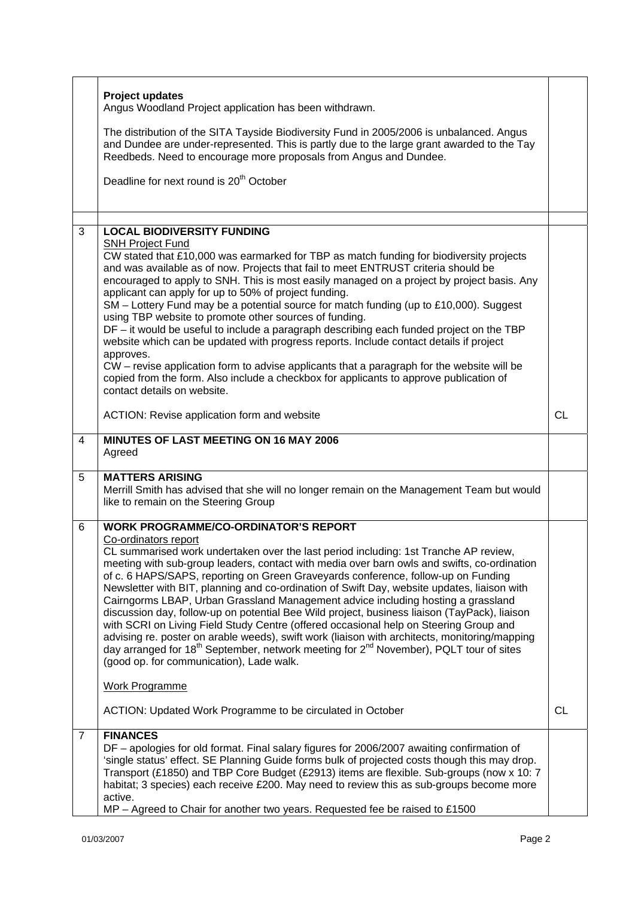|                | <b>Project updates</b><br>Angus Woodland Project application has been withdrawn.                                                                                                                                                                                                                                                                                                                                                                                                                                                                                                                                                                                                                                                                                                                                                                                                                                                                                                   |    |
|----------------|------------------------------------------------------------------------------------------------------------------------------------------------------------------------------------------------------------------------------------------------------------------------------------------------------------------------------------------------------------------------------------------------------------------------------------------------------------------------------------------------------------------------------------------------------------------------------------------------------------------------------------------------------------------------------------------------------------------------------------------------------------------------------------------------------------------------------------------------------------------------------------------------------------------------------------------------------------------------------------|----|
|                | The distribution of the SITA Tayside Biodiversity Fund in 2005/2006 is unbalanced. Angus<br>and Dundee are under-represented. This is partly due to the large grant awarded to the Tay<br>Reedbeds. Need to encourage more proposals from Angus and Dundee.                                                                                                                                                                                                                                                                                                                                                                                                                                                                                                                                                                                                                                                                                                                        |    |
|                | Deadline for next round is 20 <sup>th</sup> October                                                                                                                                                                                                                                                                                                                                                                                                                                                                                                                                                                                                                                                                                                                                                                                                                                                                                                                                |    |
|                |                                                                                                                                                                                                                                                                                                                                                                                                                                                                                                                                                                                                                                                                                                                                                                                                                                                                                                                                                                                    |    |
| 3              | <b>LOCAL BIODIVERSITY FUNDING</b><br><b>SNH Project Fund</b><br>CW stated that £10,000 was earmarked for TBP as match funding for biodiversity projects<br>and was available as of now. Projects that fail to meet ENTRUST criteria should be<br>encouraged to apply to SNH. This is most easily managed on a project by project basis. Any<br>applicant can apply for up to 50% of project funding.<br>SM - Lottery Fund may be a potential source for match funding (up to £10,000). Suggest<br>using TBP website to promote other sources of funding.<br>DF – it would be useful to include a paragraph describing each funded project on the TBP<br>website which can be updated with progress reports. Include contact details if project<br>approves.<br>CW – revise application form to advise applicants that a paragraph for the website will be<br>copied from the form. Also include a checkbox for applicants to approve publication of<br>contact details on website. |    |
|                | ACTION: Revise application form and website                                                                                                                                                                                                                                                                                                                                                                                                                                                                                                                                                                                                                                                                                                                                                                                                                                                                                                                                        | CL |
| 4              | MINUTES OF LAST MEETING ON 16 MAY 2006<br>Agreed                                                                                                                                                                                                                                                                                                                                                                                                                                                                                                                                                                                                                                                                                                                                                                                                                                                                                                                                   |    |
| 5              | <b>MATTERS ARISING</b><br>Merrill Smith has advised that she will no longer remain on the Management Team but would<br>like to remain on the Steering Group                                                                                                                                                                                                                                                                                                                                                                                                                                                                                                                                                                                                                                                                                                                                                                                                                        |    |
| 6              | <b>WORK PROGRAMME/CO-ORDINATOR'S REPORT</b>                                                                                                                                                                                                                                                                                                                                                                                                                                                                                                                                                                                                                                                                                                                                                                                                                                                                                                                                        |    |
|                | Co-ordinators report<br>CL summarised work undertaken over the last period including: 1st Tranche AP review,<br>meeting with sub-group leaders, contact with media over barn owls and swifts, co-ordination<br>of c. 6 HAPS/SAPS, reporting on Green Graveyards conference, follow-up on Funding<br>Newsletter with BIT, planning and co-ordination of Swift Day, website updates, liaison with<br>Cairngorms LBAP, Urban Grassland Management advice including hosting a grassland<br>discussion day, follow-up on potential Bee Wild project, business liaison (TayPack), liaison<br>with SCRI on Living Field Study Centre (offered occasional help on Steering Group and<br>advising re. poster on arable weeds), swift work (liaison with architects, monitoring/mapping<br>day arranged for 18 <sup>th</sup> September, network meeting for 2 <sup>nd</sup> November), PQLT tour of sites<br>(good op. for communication), Lade walk.                                        |    |
|                | <b>Work Programme</b>                                                                                                                                                                                                                                                                                                                                                                                                                                                                                                                                                                                                                                                                                                                                                                                                                                                                                                                                                              |    |
|                | ACTION: Updated Work Programme to be circulated in October                                                                                                                                                                                                                                                                                                                                                                                                                                                                                                                                                                                                                                                                                                                                                                                                                                                                                                                         | CL |
| $\overline{7}$ | <b>FINANCES</b><br>DF - apologies for old format. Final salary figures for 2006/2007 awaiting confirmation of<br>'single status' effect. SE Planning Guide forms bulk of projected costs though this may drop.<br>Transport (£1850) and TBP Core Budget (£2913) items are flexible. Sub-groups (now x 10: 7<br>habitat; 3 species) each receive £200. May need to review this as sub-groups become more<br>active.<br>MP - Agreed to Chair for another two years. Requested fee be raised to £1500                                                                                                                                                                                                                                                                                                                                                                                                                                                                                 |    |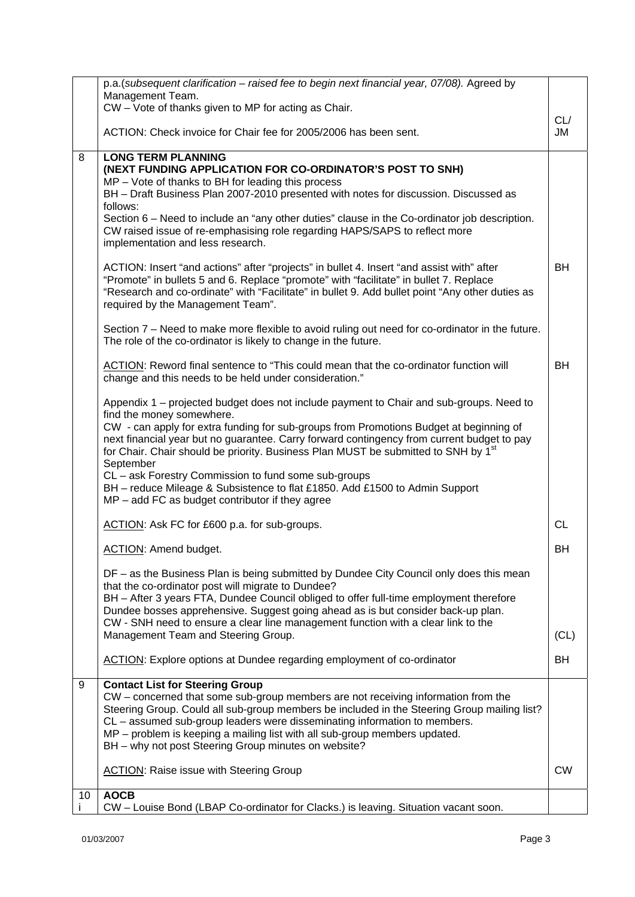|    | p.a. (subsequent clarification - raised fee to begin next financial year, 07/08). Agreed by                                                                                                                                                                                                                                 |           |
|----|-----------------------------------------------------------------------------------------------------------------------------------------------------------------------------------------------------------------------------------------------------------------------------------------------------------------------------|-----------|
|    | Management Team.<br>CW - Vote of thanks given to MP for acting as Chair.                                                                                                                                                                                                                                                    |           |
|    |                                                                                                                                                                                                                                                                                                                             | CL/       |
|    | ACTION: Check invoice for Chair fee for 2005/2006 has been sent.                                                                                                                                                                                                                                                            | JM        |
| 8  | <b>LONG TERM PLANNING</b>                                                                                                                                                                                                                                                                                                   |           |
|    | (NEXT FUNDING APPLICATION FOR CO-ORDINATOR'S POST TO SNH)<br>$MP - Vote$ of thanks to BH for leading this process                                                                                                                                                                                                           |           |
|    | BH - Draft Business Plan 2007-2010 presented with notes for discussion. Discussed as<br>follows:                                                                                                                                                                                                                            |           |
|    | Section 6 – Need to include an "any other duties" clause in the Co-ordinator job description.<br>CW raised issue of re-emphasising role regarding HAPS/SAPS to reflect more<br>implementation and less research.                                                                                                            |           |
|    | ACTION: Insert "and actions" after "projects" in bullet 4. Insert "and assist with" after<br>"Promote" in bullets 5 and 6. Replace "promote" with "facilitate" in bullet 7. Replace<br>"Research and co-ordinate" with "Facilitate" in bullet 9. Add bullet point "Any other duties as<br>required by the Management Team". | <b>BH</b> |
|    | Section 7 – Need to make more flexible to avoid ruling out need for co-ordinator in the future.<br>The role of the co-ordinator is likely to change in the future.                                                                                                                                                          |           |
|    | ACTION: Reword final sentence to "This could mean that the co-ordinator function will<br>change and this needs to be held under consideration."                                                                                                                                                                             | <b>BH</b> |
|    | Appendix 1 – projected budget does not include payment to Chair and sub-groups. Need to<br>find the money somewhere.                                                                                                                                                                                                        |           |
|    | CW - can apply for extra funding for sub-groups from Promotions Budget at beginning of<br>next financial year but no guarantee. Carry forward contingency from current budget to pay<br>for Chair. Chair should be priority. Business Plan MUST be submitted to SNH by 1 <sup>st</sup><br>September                         |           |
|    | CL - ask Forestry Commission to fund some sub-groups<br>BH - reduce Mileage & Subsistence to flat £1850. Add £1500 to Admin Support<br>$MP - add FC$ as budget contributor if they agree                                                                                                                                    |           |
|    | ACTION: Ask FC for £600 p.a. for sub-groups.                                                                                                                                                                                                                                                                                | <b>CL</b> |
|    | ACTION: Amend budget.                                                                                                                                                                                                                                                                                                       | BH        |
|    | DF - as the Business Plan is being submitted by Dundee City Council only does this mean<br>that the co-ordinator post will migrate to Dundee?                                                                                                                                                                               |           |
|    | BH - After 3 years FTA, Dundee Council obliged to offer full-time employment therefore<br>Dundee bosses apprehensive. Suggest going ahead as is but consider back-up plan.<br>CW - SNH need to ensure a clear line management function with a clear link to the                                                             |           |
|    | Management Team and Steering Group.                                                                                                                                                                                                                                                                                         | (CL)      |
|    | ACTION: Explore options at Dundee regarding employment of co-ordinator                                                                                                                                                                                                                                                      | BH        |
| 9  | <b>Contact List for Steering Group</b>                                                                                                                                                                                                                                                                                      |           |
|    | CW - concerned that some sub-group members are not receiving information from the<br>Steering Group. Could all sub-group members be included in the Steering Group mailing list?<br>CL – assumed sub-group leaders were disseminating information to members.                                                               |           |
|    | MP - problem is keeping a mailing list with all sub-group members updated.<br>BH - why not post Steering Group minutes on website?                                                                                                                                                                                          |           |
|    | <b>ACTION:</b> Raise issue with Steering Group                                                                                                                                                                                                                                                                              | <b>CW</b> |
| 10 | <b>AOCB</b>                                                                                                                                                                                                                                                                                                                 |           |
|    | CW - Louise Bond (LBAP Co-ordinator for Clacks.) is leaving. Situation vacant soon.                                                                                                                                                                                                                                         |           |